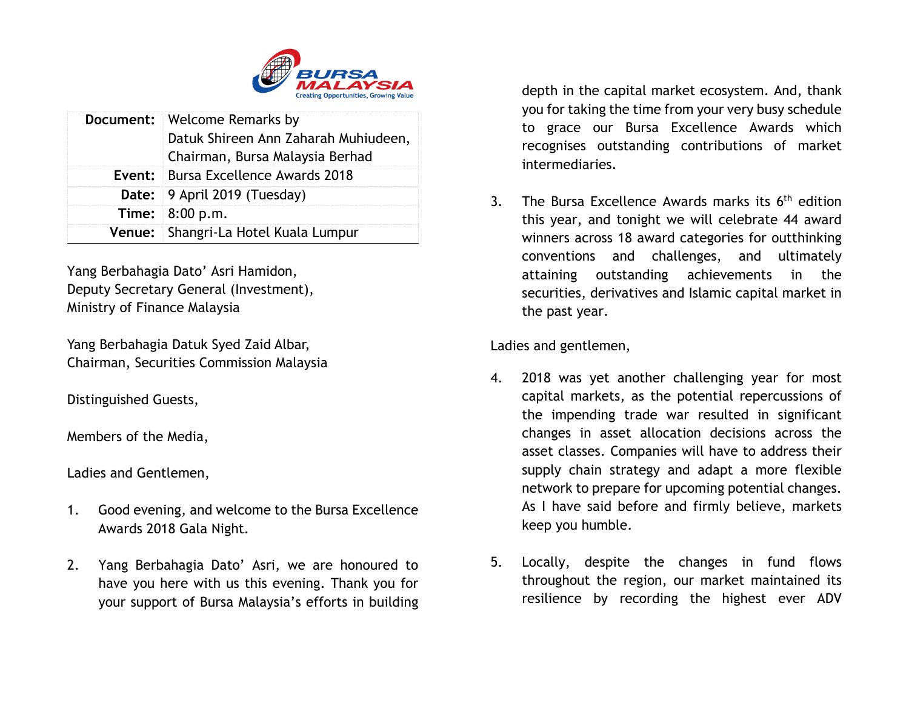

| <b>Document:</b> Welcome Remarks by                                     |
|-------------------------------------------------------------------------|
| Datuk Shireen Ann Zaharah Muhiudeen,<br>Chairman, Bursa Malaysia Berhad |
| <b>Event: Bursa Excellence Awards 2018</b>                              |
| Date: 9 April 2019 (Tuesday)                                            |
| <b>Time:</b> $8:00 \text{ p.m.}$                                        |
| Venue: Shangri-La Hotel Kuala Lumpur                                    |

Yang Berbahagia Dato' Asri Hamidon, Deputy Secretary General (Investment), Ministry of Finance Malaysia

Yang Berbahagia Datuk Syed Zaid Albar, Chairman, Securities Commission Malaysia

Distinguished Guests,

Members of the Media,

Ladies and Gentlemen,

- 1. Good evening, and welcome to the Bursa Excellence Awards 2018 Gala Night.
- 2. Yang Berbahagia Dato' Asri, we are honoured to have you here with us this evening. Thank you for your support of Bursa Malaysia's efforts in building

depth in the capital market ecosystem. And, thank you for taking the time from your very busy schedule to grace our Bursa Excellence Awards which recognises outstanding contributions of market intermediaries.

3. The Bursa Excellence Awards marks its 6<sup>th</sup> edition this year, and tonight we will celebrate 44 award winners across 18 award categories for outthinking conventions and challenges, and ultimately attaining outstanding achievements in the securities, derivatives and Islamic capital market in the past year.

Ladies and gentlemen,

- 4. 2018 was yet another challenging year for most capital markets, as the potential repercussions of the impending trade war resulted in significant changes in asset allocation decisions across the asset classes. Companies will have to address their supply chain strategy and adapt a more flexible network to prepare for upcoming potential changes. As I have said before and firmly believe, markets keep you humble.
- 5. Locally, despite the changes in fund flows throughout the region, our market maintained its resilience by recording the highest ever ADV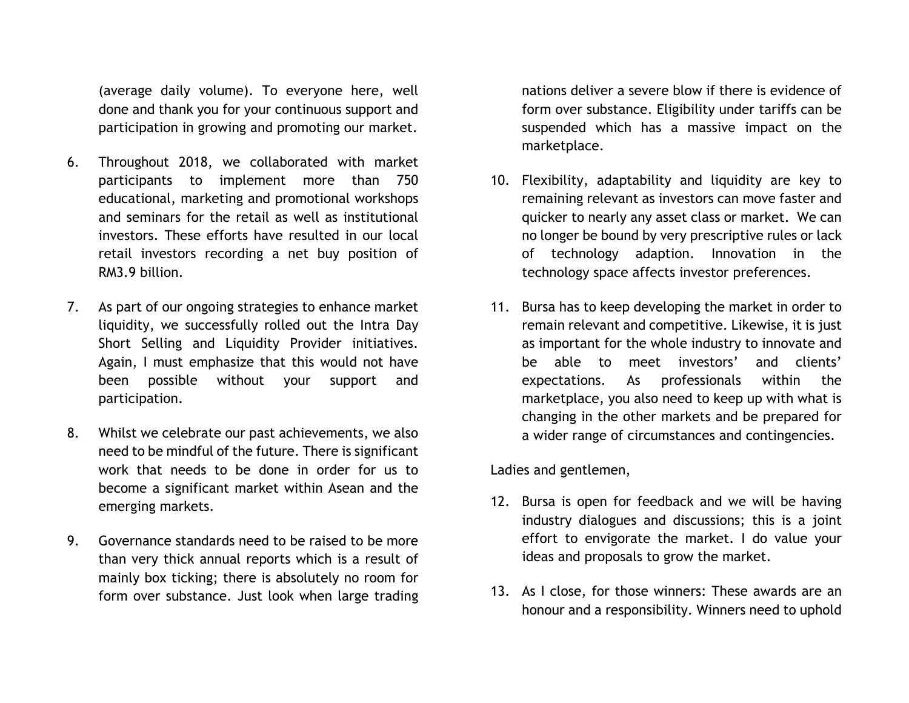(average daily volume). To everyone here, well done and thank you for your continuous support and participation in growing and promoting our market.

- 6. Throughout 2018, we collaborated with market participants to implement more than 750 educational, marketing and promotional workshops and seminars for the retail as well as institutional investors. These efforts have resulted in our local retail investors recording a net buy position of RM3.9 billion.
- 7. As part of our ongoing strategies to enhance market liquidity, we successfully rolled out the Intra Day Short Selling and Liquidity Provider initiatives. Again, I must emphasize that this would not have been possible without your support and participation.
- 8. Whilst we celebrate our past achievements, we also need to be mindful of the future. There is significant work that needs to be done in order for us to become a significant market within Asean and the emerging markets.
- 9. Governance standards need to be raised to be more than very thick annual reports which is a result of mainly box ticking; there is absolutely no room for form over substance. Just look when large trading

nations deliver a severe blow if there is evidence of form over substance. Eligibility under tariffs can be suspended which has a massive impact on the marketplace.

- 10. Flexibility, adaptability and liquidity are key to remaining relevant as investors can move faster and quicker to nearly any asset class or market. We can no longer be bound by very prescriptive rules or lack of technology adaption. Innovation in the technology space affects investor preferences.
- 11. Bursa has to keep developing the market in order to remain relevant and competitive. Likewise, it is just as important for the whole industry to innovate and be able to meet investors' and clients' expectations. As professionals within the marketplace, you also need to keep up with what is changing in the other markets and be prepared for a wider range of circumstances and contingencies.

Ladies and gentlemen,

- 12. Bursa is open for feedback and we will be having industry dialogues and discussions; this is a joint effort to envigorate the market. I do value your ideas and proposals to grow the market.
- 13. As I close, for those winners: These awards are an honour and a responsibility. Winners need to uphold